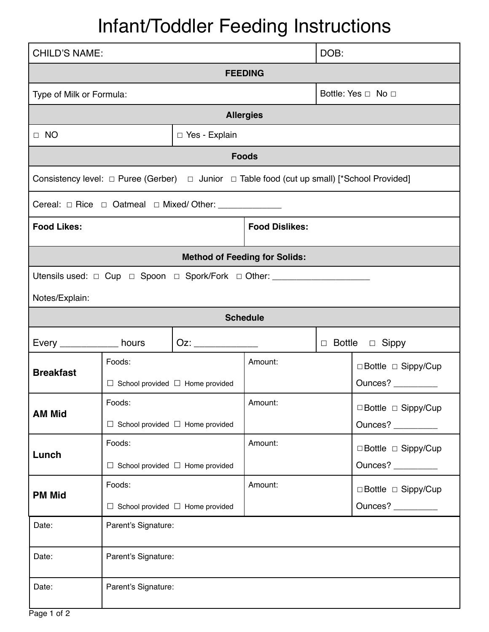## Infant/Toddler Feeding Instructions

| <b>CHILD'S NAME:</b>                                                                                       |                                                       |                   |                       | DOB: |                                           |  |
|------------------------------------------------------------------------------------------------------------|-------------------------------------------------------|-------------------|-----------------------|------|-------------------------------------------|--|
| <b>FEEDING</b>                                                                                             |                                                       |                   |                       |      |                                           |  |
| Type of Milk or Formula:                                                                                   |                                                       |                   | Bottle: Yes □ No □    |      |                                           |  |
| <b>Allergies</b>                                                                                           |                                                       |                   |                       |      |                                           |  |
| $\Box$ NO                                                                                                  |                                                       | □ Yes - Explain   |                       |      |                                           |  |
| <b>Foods</b>                                                                                               |                                                       |                   |                       |      |                                           |  |
| Consistency level: $\Box$ Puree (Gerber) $\Box$ Junior $\Box$ Table food (cut up small) [*School Provided] |                                                       |                   |                       |      |                                           |  |
|                                                                                                            |                                                       |                   |                       |      |                                           |  |
| <b>Food Likes:</b>                                                                                         |                                                       |                   | <b>Food Dislikes:</b> |      |                                           |  |
| <b>Method of Feeding for Solids:</b>                                                                       |                                                       |                   |                       |      |                                           |  |
| Utensils used: □ Cup □ Spoon □ Spork/Fork □ Other: _____________________________                           |                                                       |                   |                       |      |                                           |  |
| Notes/Explain:                                                                                             |                                                       |                   |                       |      |                                           |  |
| <b>Schedule</b>                                                                                            |                                                       |                   |                       |      |                                           |  |
| Every _____________ hours                                                                                  |                                                       | Oz: _____________ |                       |      | $\Box$ Bottle $\Box$ Sippy                |  |
| <b>Breakfast</b>                                                                                           | Foods:<br>$\Box$ School provided $\Box$ Home provided |                   | Amount:               |      | □ Bottle □ Sippy/Cup<br>Ounces? _________ |  |
| <b>AM Mid</b>                                                                                              | Foods:<br>$\Box$ School provided $\Box$ Home provided |                   | Amount:               |      | □ Bottle □ Sippy/Cup<br>Ounces? _________ |  |
| Lunch                                                                                                      | Foods:<br>$\Box$ School provided $\Box$ Home provided |                   | Amount:               |      | □ Bottle □ Sippy/Cup<br>Ounces? _________ |  |
| <b>PM Mid</b>                                                                                              | Foods:<br>$\Box$ School provided $\Box$ Home provided |                   | Amount:               |      | □ Bottle □ Sippy/Cup<br>Ounces?           |  |
| Date:                                                                                                      | Parent's Signature:                                   |                   |                       |      |                                           |  |
| Date:                                                                                                      | Parent's Signature:                                   |                   |                       |      |                                           |  |
| Date:                                                                                                      | Parent's Signature:                                   |                   |                       |      |                                           |  |